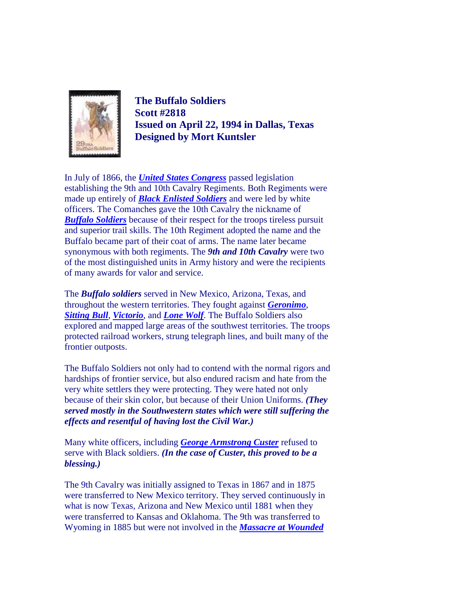

**The Buffalo Soldiers Scott #2818 Issued on April 22, 1994 in Dallas, Texas Designed by Mort Kuntsler**

In July of 1866, the *[United States Congress](http://thomas.loc.gov/home/legbranch/legbranch.html)* passed legislation establishing the 9th and 10th Cavalry Regiments. Both Regiments were made up entirely of *[Black Enlisted Soldiers](http://www.nara.gov/publications/prologue/buffsldrs.html)* and were led by white officers. The Comanches gave the 10th Cavalry the nickname of *[Buffalo Soldiers](http://www.buffalosoldier.net/)* because of their respect for the troops tireless pursuit and superior trail skills. The 10th Regiment adopted the name and the Buffalo became part of their coat of arms. The name later became synonymous with both regiments. The *9th and 10th Cavalry* were two of the most distinguished units in Army history and were the recipients of many awards for valor and service.

The *Buffalo soldiers* served in New Mexico, Arizona, Texas, and throughout the western territories. They fought against *[Geronimo](http://odur.let.rug.nl/~usa/B/geronimo/geronixx.htm)*, *[Sitting Bull](http://www.pbs.org/weta/thewest/people/s_z/sittingbull.htm)*, *[Victorio](http://www.buffalosoldier.net/BuffaloSoldiers&ChiefVictorio.htm)*, and *[Lone Wolf](http://www.tsha.utexas.edu/handbook/online/articles/view/LL/flo9.html)*. The Buffalo Soldiers also explored and mapped large areas of the southwest territories. The troops protected railroad workers, strung telegraph lines, and built many of the frontier outposts.

The Buffalo Soldiers not only had to contend with the normal rigors and hardships of frontier service, but also endured racism and hate from the very white settlers they were protecting. They were hated not only because of their skin color, but because of their Union Uniforms. *(They served mostly in the Southwestern states which were still suffering the effects and resentful of having lost the Civil War.)* 

Many white officers, including *[George Armstrong Custer](http://www.civilwarhome.com/custerbi.htm)* refused to serve with Black soldiers. *(In the case of Custer, this proved to be a blessing.)*

The 9th Cavalry was initially assigned to Texas in 1867 and in 1875 were transferred to New Mexico territory. They served continuously in what is now Texas, Arizona and New Mexico until 1881 when they were transferred to Kansas and Oklahoma. The 9th was transferred to Wyoming in 1885 but were not involved in the *[Massacre at Wounded](http://www.bgsu.edu/departments/acs/1890s/woundedknee/WKIntro.html)*